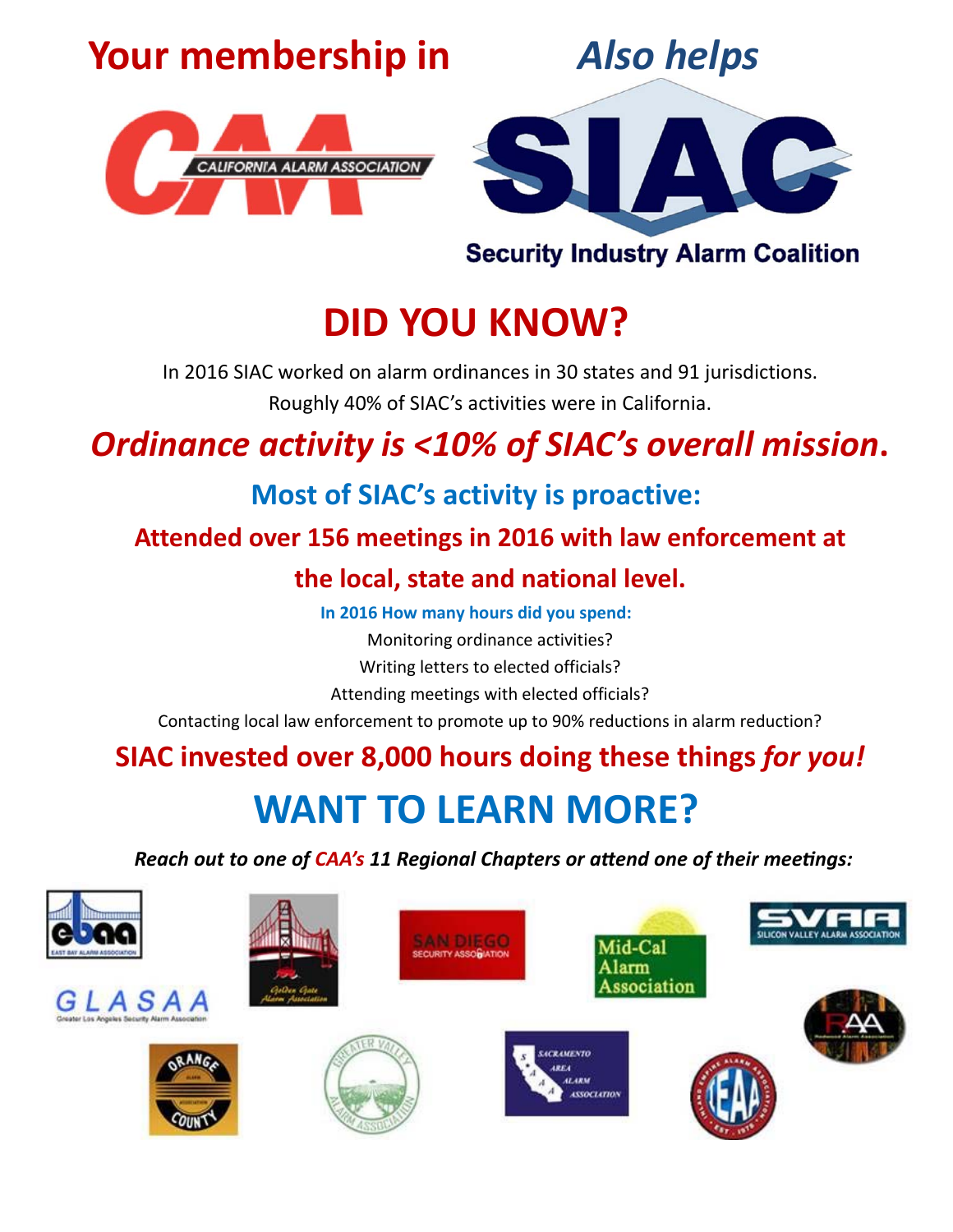# **Your membership in**







**Security Industry Alarm Coalition** 

# **DID YOU KNOW?**

In 2016 SIAC worked on alarm ordinances in 30 states and 91 jurisdictions.

Roughly 40% of SIAC's activities were in California.

## *Ordinance activity is <10% of SIAC's overall mission***.**

## **Most of SIAC's activity is proactive:**

### **Attended over 156 meetings in 2016 with law enforcement at**

### **the local, state and national level.**

**In 2016 How many hours did you spend:** 

Monitoring ordinance activities?

Writing letters to elected officials?

Attending meetings with elected officials?

Contacting local law enforcement to promote up to 90% reductions in alarm reduction?

# **SIAC invested over 8,000 hours doing these things** *for you!*

# **WANT TO LEARN MORE?**

*Reach out to one of CAA's 11 Regional Chapters or aƩend one of their meeƟngs:*